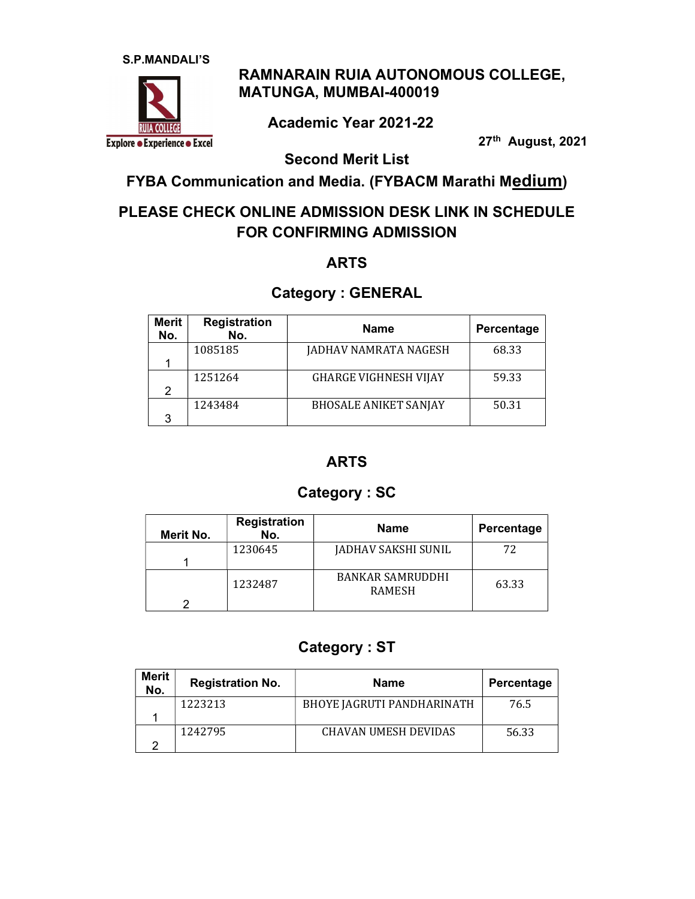

### RAMNARAIN RUIA AUTONOMOUS COLLEGE, MATUNGA, MUMBAI-400019

Academic Year 2021-22

27th August, 2021

Second Merit List

FYBA Communication and Media. (FYBACM Marathi Medium)

## PLEASE CHECK ONLINE ADMISSION DESK LINK IN SCHEDULE FOR CONFIRMING ADMISSION

#### ARTS

#### Category : GENERAL

| Merit<br>No. | <b>Registration</b><br>No. | <b>Name</b>                  | Percentage |
|--------------|----------------------------|------------------------------|------------|
|              | 1085185                    | JADHAV NAMRATA NAGESH        | 68.33      |
|              |                            |                              |            |
|              | 1251264                    | <b>GHARGE VIGHNESH VIJAY</b> | 59.33      |
| 2            |                            |                              |            |
|              | 1243484                    | <b>BHOSALE ANIKET SANJAY</b> | 50.31      |
| 3            |                            |                              |            |

#### ARTS

#### Category : SC

| Merit No. | <b>Registration</b><br>No. | <b>Name</b>                              | Percentage |
|-----------|----------------------------|------------------------------------------|------------|
|           | 1230645                    | JADHAV SAKSHI SUNIL                      | 72         |
|           | 1232487                    | <b>BANKAR SAMRUDDHI</b><br><b>RAMESH</b> | 63.33      |

#### Category : ST

| Merit<br>No. | <b>Registration No.</b> | <b>Name</b>                | Percentage |
|--------------|-------------------------|----------------------------|------------|
|              | 1223213                 | BHOYE JAGRUTI PANDHARINATH | 76.5       |
|              |                         |                            |            |
|              | 1242795                 | CHAVAN UMESH DEVIDAS       | 56.33      |
|              |                         |                            |            |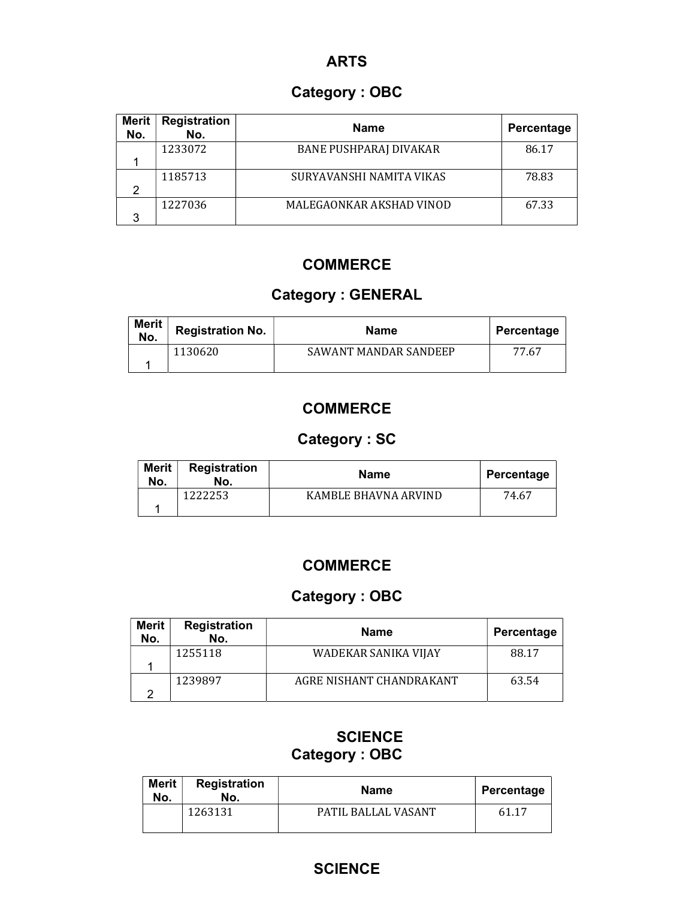#### ARTS

## Category : OBC

| <b>Merit</b><br>No. | <b>Registration</b><br>No. | <b>Name</b>                   | Percentage |
|---------------------|----------------------------|-------------------------------|------------|
|                     | 1233072                    | <b>BANE PUSHPARAJ DIVAKAR</b> | 86.17      |
|                     |                            |                               |            |
|                     | 1185713                    | SURYAVANSHI NAMITA VIKAS      | 78.83      |
| っ                   |                            |                               |            |
|                     | 1227036                    | MALEGAONKAR AKSHAD VINOD      | 67.33      |
| ঽ                   |                            |                               |            |

### **COMMERCE**

## Category : GENERAL

| <b>Merit</b><br>No. | <b>Registration No.</b> | <b>Name</b>           | Percentage |
|---------------------|-------------------------|-----------------------|------------|
|                     | 1130620                 | SAWANT MANDAR SANDEEP | 77.67      |

## **COMMERCE**

# Category : SC

| <b>Merit</b><br>No. | <b>Registration</b><br>No. | <b>Name</b>          | Percentage |
|---------------------|----------------------------|----------------------|------------|
|                     | 222253                     | KAMBLE BHAVNA ARVIND | 74.67      |

#### **COMMERCE**

# Category : OBC

| <b>Merit</b><br>No. | <b>Registration</b><br>No. | <b>Name</b>              | Percentage |
|---------------------|----------------------------|--------------------------|------------|
|                     | 1255118                    | WADEKAR SANIKA VIJAY     | 88.17      |
|                     | 1239897                    | AGRE NISHANT CHANDRAKANT | 63.54      |

### **SCIENCE** Category : OBC

| <b>Merit</b><br>No. | Registration<br>No. | <b>Name</b>         | Percentage |
|---------------------|---------------------|---------------------|------------|
|                     | 1263131             | PATIL BALLAL VASANT | 61.17      |

#### **SCIENCE**